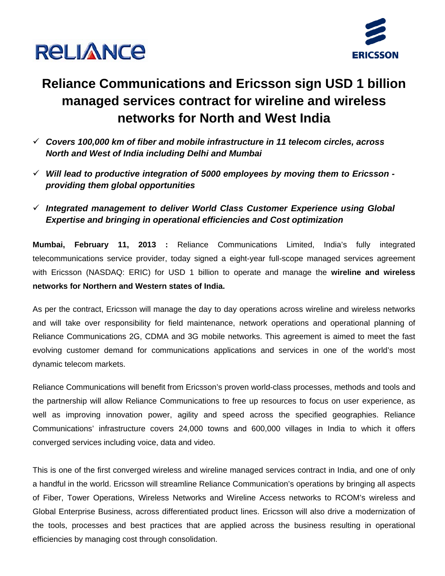



### **Reliance Communications and Ericsson sign USD 1 billion managed services contract for wireline and wireless networks for North and West India**

- 9 *Covers 100,000 km of fiber and mobile infrastructure in 11 telecom circles, across North and West of India including Delhi and Mumbai*
- 9 *Will lead to productive integration of 5000 employees by moving them to Ericsson providing them global opportunities*
- 9 *Integrated management to deliver World Class Customer Experience using Global Expertise and bringing in operational efficiencies and Cost optimization*

**Mumbai, February 11, 2013 :** Reliance Communications Limited, India's fully integrated telecommunications service provider, today signed a eight-year full-scope managed services agreement with Ericsson (NASDAQ: ERIC) for USD 1 billion to operate and manage the **wireline and wireless networks for Northern and Western states of India.** 

As per the contract, Ericsson will manage the day to day operations across wireline and wireless networks and will take over responsibility for field maintenance, network operations and operational planning of Reliance Communications 2G, CDMA and 3G mobile networks. This agreement is aimed to meet the fast evolving customer demand for communications applications and services in one of the world's most dynamic telecom markets.

Reliance Communications will benefit from Ericsson's proven world-class processes, methods and tools and the partnership will allow Reliance Communications to free up resources to focus on user experience, as well as improving innovation power, agility and speed across the specified geographies. Reliance Communications' infrastructure covers 24,000 towns and 600,000 villages in India to which it offers converged services including voice, data and video.

This is one of the first converged wireless and wireline managed services contract in India, and one of only a handful in the world. Ericsson will streamline Reliance Communication's operations by bringing all aspects of Fiber, Tower Operations, Wireless Networks and Wireline Access networks to RCOM's wireless and Global Enterprise Business, across differentiated product lines. Ericsson will also drive a modernization of the tools, processes and best practices that are applied across the business resulting in operational efficiencies by managing cost through consolidation.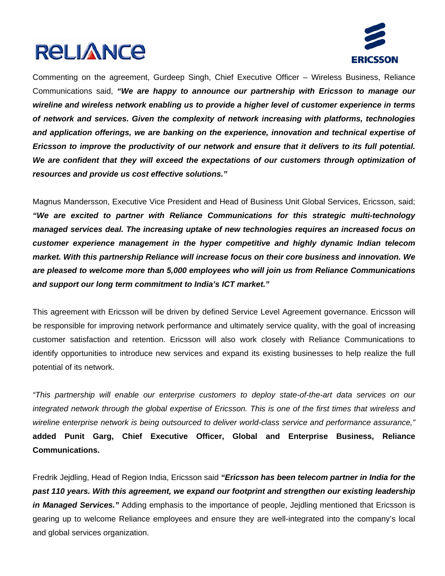# **RELIANCE**



Commenting on the agreement, Gurdeep Singh, Chief Executive Officer – Wireless Business, Reliance Communications said, *"We are happy to announce our partnership with Ericsson to manage our wireline and wireless network enabling us to provide a higher level of customer experience in terms of network and services. Given the complexity of network increasing with platforms, technologies and application offerings, we are banking on the experience, innovation and technical expertise of Ericsson to improve the productivity of our network and ensure that it delivers to its full potential. We are confident that they will exceed the expectations of our customers through optimization of resources and provide us cost effective solutions."* 

Magnus Mandersson, Executive Vice President and Head of Business Unit Global Services, Ericsson, said; *"We are excited to partner with Reliance Communications for this strategic multi-technology managed services deal. The increasing uptake of new technologies requires an increased focus on customer experience management in the hyper competitive and highly dynamic Indian telecom market. With this partnership Reliance will increase focus on their core business and innovation. We are pleased to welcome more than 5,000 employees who will join us from Reliance Communications and support our long term commitment to India's ICT market."* 

This agreement with Ericsson will be driven by defined Service Level Agreement governance. Ericsson will be responsible for improving network performance and ultimately service quality, with the goal of increasing customer satisfaction and retention. Ericsson will also work closely with Reliance Communications to identify opportunities to introduce new services and expand its existing businesses to help realize the full potential of its network.

*"This partnership will enable our enterprise customers to deploy state-of-the-art data services on our integrated network through the global expertise of Ericsson. This is one of the first times that wireless and wireline enterprise network is being outsourced to deliver world-class service and performance assurance,"*  **added Punit Garg, Chief Executive Officer, Global and Enterprise Business, Reliance Communications.**

Fredrik Jejdling, Head of Region India, Ericsson said *"Ericsson has been telecom partner in India for the*  past 110 years. With this agreement, we expand our footprint and strengthen our existing leadership *in Managed Services."* Adding emphasis to the importance of people, Jejdling mentioned that Ericsson is gearing up to welcome Reliance employees and ensure they are well-integrated into the company's local and global services organization.